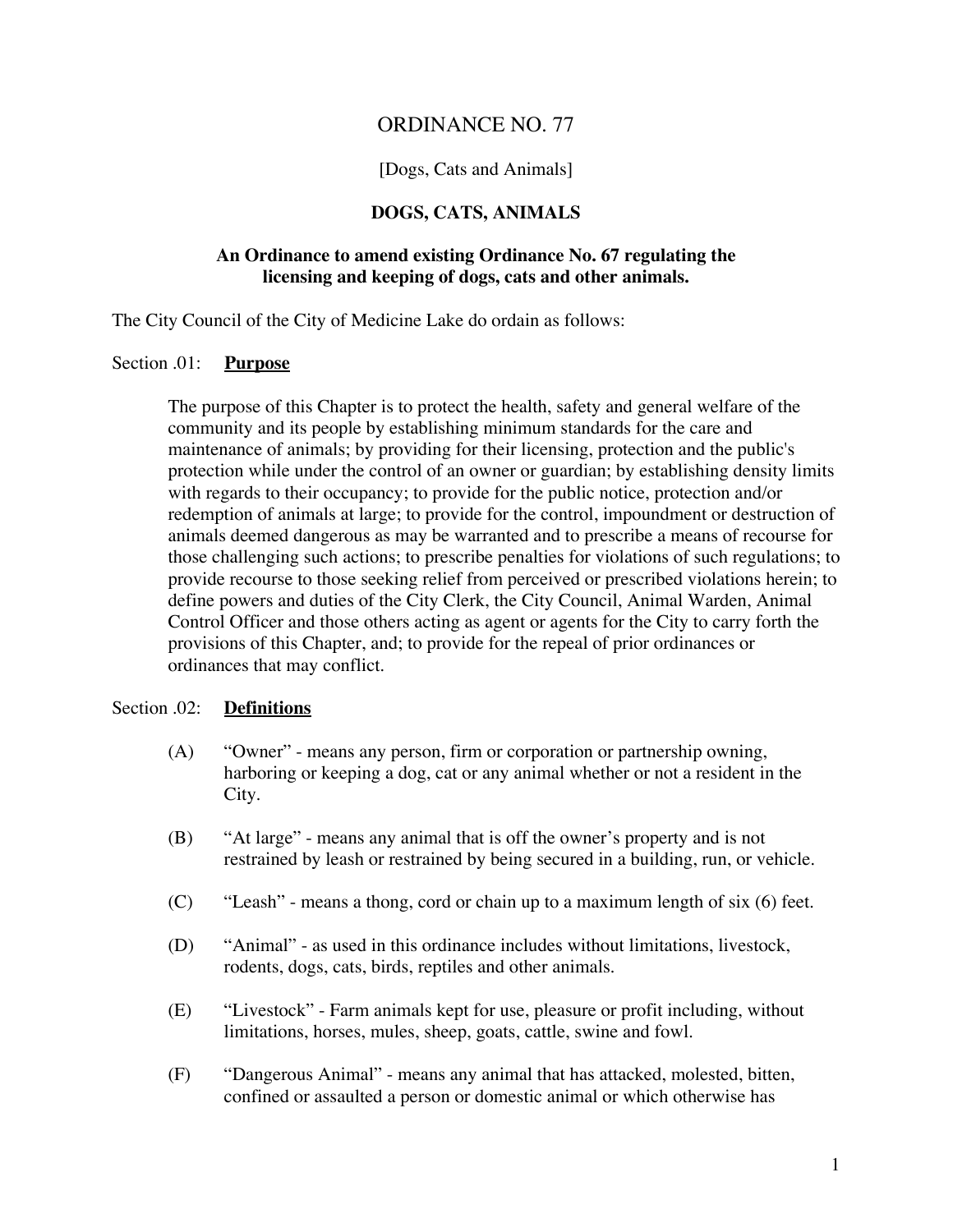# ORDINANCE NO. 77

# [Dogs, Cats and Animals]

# **DOGS, CATS, ANIMALS**

# **An Ordinance to amend existing Ordinance No. 67 regulating the licensing and keeping of dogs, cats and other animals.**

The City Council of the City of Medicine Lake do ordain as follows:

## Section .01: **Purpose**

The purpose of this Chapter is to protect the health, safety and general welfare of the community and its people by establishing minimum standards for the care and maintenance of animals; by providing for their licensing, protection and the public's protection while under the control of an owner or guardian; by establishing density limits with regards to their occupancy; to provide for the public notice, protection and/or redemption of animals at large; to provide for the control, impoundment or destruction of animals deemed dangerous as may be warranted and to prescribe a means of recourse for those challenging such actions; to prescribe penalties for violations of such regulations; to provide recourse to those seeking relief from perceived or prescribed violations herein; to define powers and duties of the City Clerk, the City Council, Animal Warden, Animal Control Officer and those others acting as agent or agents for the City to carry forth the provisions of this Chapter, and; to provide for the repeal of prior ordinances or ordinances that may conflict.

#### Section .02: **Definitions**

- (A) "Owner" means any person, firm or corporation or partnership owning, harboring or keeping a dog, cat or any animal whether or not a resident in the City.
- (B) "At large" means any animal that is off the owner's property and is not restrained by leash or restrained by being secured in a building, run, or vehicle.
- (C) "Leash" means a thong, cord or chain up to a maximum length of six (6) feet.
- (D) "Animal" as used in this ordinance includes without limitations, livestock, rodents, dogs, cats, birds, reptiles and other animals.
- (E) "Livestock" Farm animals kept for use, pleasure or profit including, without limitations, horses, mules, sheep, goats, cattle, swine and fowl.
- (F) "Dangerous Animal" means any animal that has attacked, molested, bitten, confined or assaulted a person or domestic animal or which otherwise has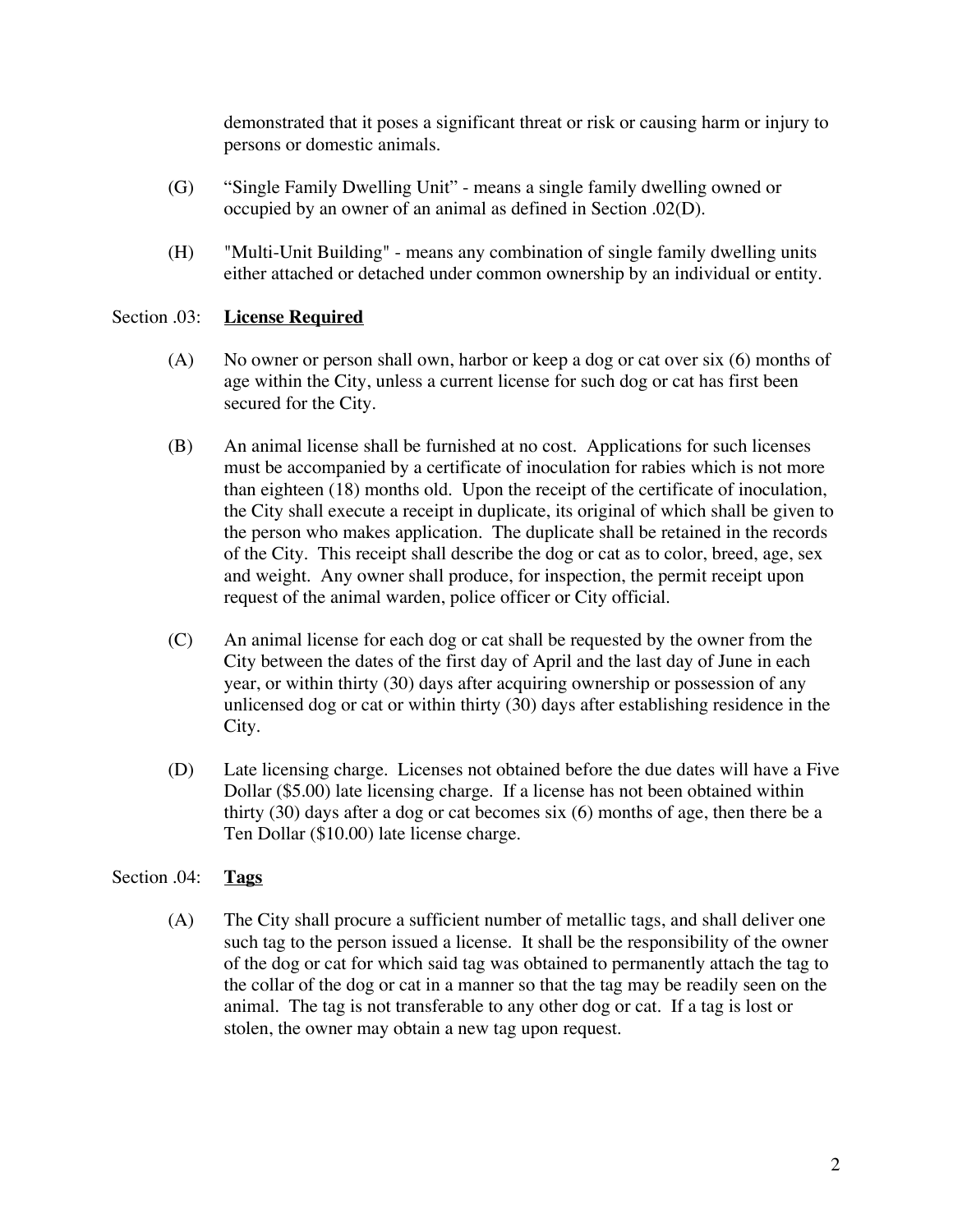demonstrated that it poses a significant threat or risk or causing harm or injury to persons or domestic animals.

- (G) "Single Family Dwelling Unit" means a single family dwelling owned or occupied by an owner of an animal as defined in Section .02(D).
- (H) "Multi-Unit Building" means any combination of single family dwelling units either attached or detached under common ownership by an individual or entity.

# Section .03: **License Required**

- (A) No owner or person shall own, harbor or keep a dog or cat over six (6) months of age within the City, unless a current license for such dog or cat has first been secured for the City.
- (B) An animal license shall be furnished at no cost. Applications for such licenses must be accompanied by a certificate of inoculation for rabies which is not more than eighteen (18) months old. Upon the receipt of the certificate of inoculation, the City shall execute a receipt in duplicate, its original of which shall be given to the person who makes application. The duplicate shall be retained in the records of the City. This receipt shall describe the dog or cat as to color, breed, age, sex and weight. Any owner shall produce, for inspection, the permit receipt upon request of the animal warden, police officer or City official.
- (C) An animal license for each dog or cat shall be requested by the owner from the City between the dates of the first day of April and the last day of June in each year, or within thirty (30) days after acquiring ownership or possession of any unlicensed dog or cat or within thirty (30) days after establishing residence in the City.
- (D) Late licensing charge. Licenses not obtained before the due dates will have a Five Dollar (\$5.00) late licensing charge. If a license has not been obtained within thirty (30) days after a dog or cat becomes six (6) months of age, then there be a Ten Dollar (\$10.00) late license charge.

# Section .04: **Tags**

(A) The City shall procure a sufficient number of metallic tags, and shall deliver one such tag to the person issued a license. It shall be the responsibility of the owner of the dog or cat for which said tag was obtained to permanently attach the tag to the collar of the dog or cat in a manner so that the tag may be readily seen on the animal. The tag is not transferable to any other dog or cat. If a tag is lost or stolen, the owner may obtain a new tag upon request.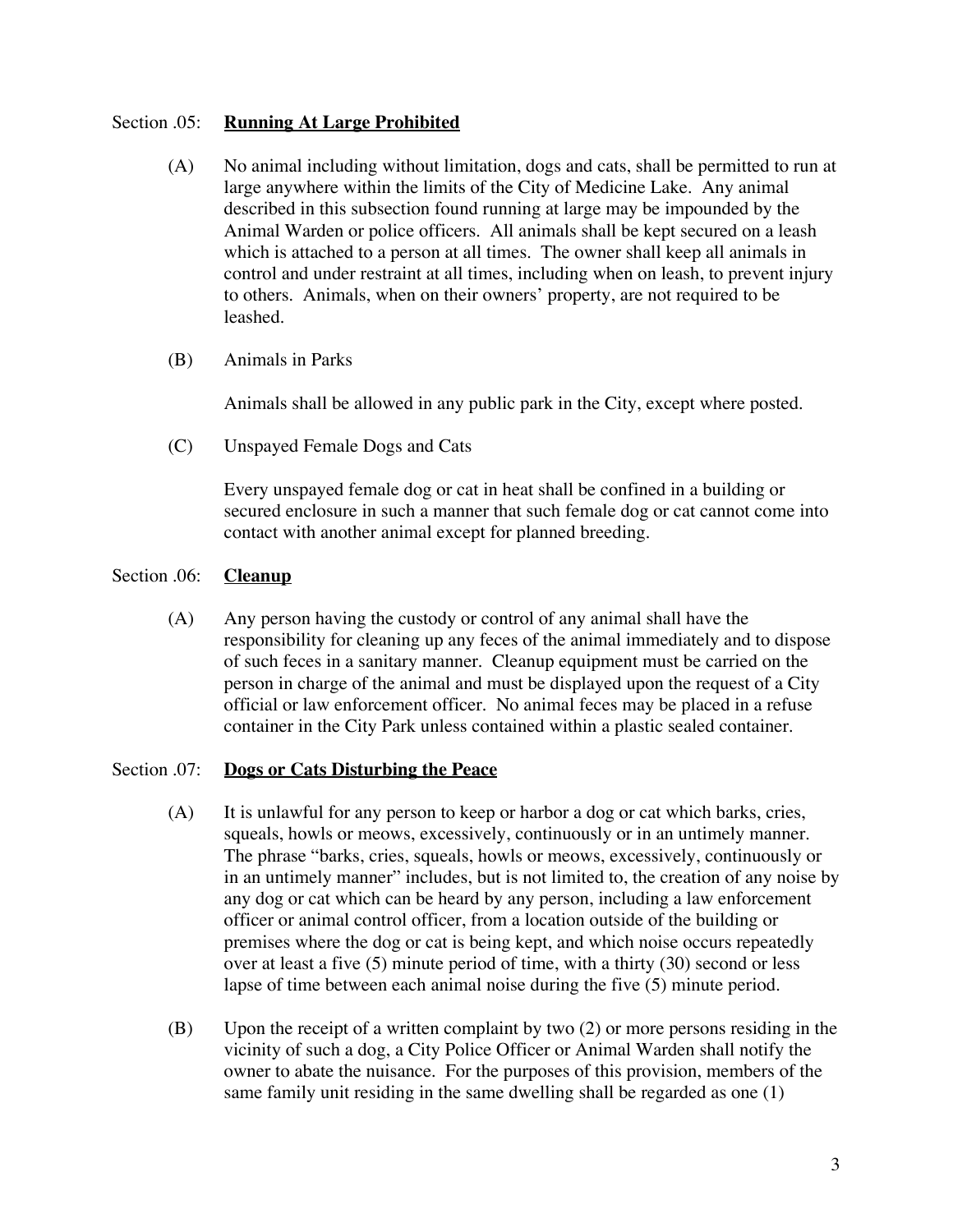## Section .05: **Running At Large Prohibited**

- (A) No animal including without limitation, dogs and cats, shall be permitted to run at large anywhere within the limits of the City of Medicine Lake. Any animal described in this subsection found running at large may be impounded by the Animal Warden or police officers. All animals shall be kept secured on a leash which is attached to a person at all times. The owner shall keep all animals in control and under restraint at all times, including when on leash, to prevent injury to others. Animals, when on their owners' property, are not required to be leashed.
- (B) Animals in Parks

Animals shall be allowed in any public park in the City, except where posted.

(C) Unspayed Female Dogs and Cats

Every unspayed female dog or cat in heat shall be confined in a building or secured enclosure in such a manner that such female dog or cat cannot come into contact with another animal except for planned breeding.

# Section .06: **Cleanup**

(A) Any person having the custody or control of any animal shall have the responsibility for cleaning up any feces of the animal immediately and to dispose of such feces in a sanitary manner. Cleanup equipment must be carried on the person in charge of the animal and must be displayed upon the request of a City official or law enforcement officer. No animal feces may be placed in a refuse container in the City Park unless contained within a plastic sealed container.

## Section .07: **Dogs or Cats Disturbing the Peace**

- (A) It is unlawful for any person to keep or harbor a dog or cat which barks, cries, squeals, howls or meows, excessively, continuously or in an untimely manner. The phrase "barks, cries, squeals, howls or meows, excessively, continuously or in an untimely manner" includes, but is not limited to, the creation of any noise by any dog or cat which can be heard by any person, including a law enforcement officer or animal control officer, from a location outside of the building or premises where the dog or cat is being kept, and which noise occurs repeatedly over at least a five (5) minute period of time, with a thirty (30) second or less lapse of time between each animal noise during the five (5) minute period.
- (B) Upon the receipt of a written complaint by two (2) or more persons residing in the vicinity of such a dog, a City Police Officer or Animal Warden shall notify the owner to abate the nuisance. For the purposes of this provision, members of the same family unit residing in the same dwelling shall be regarded as one (1)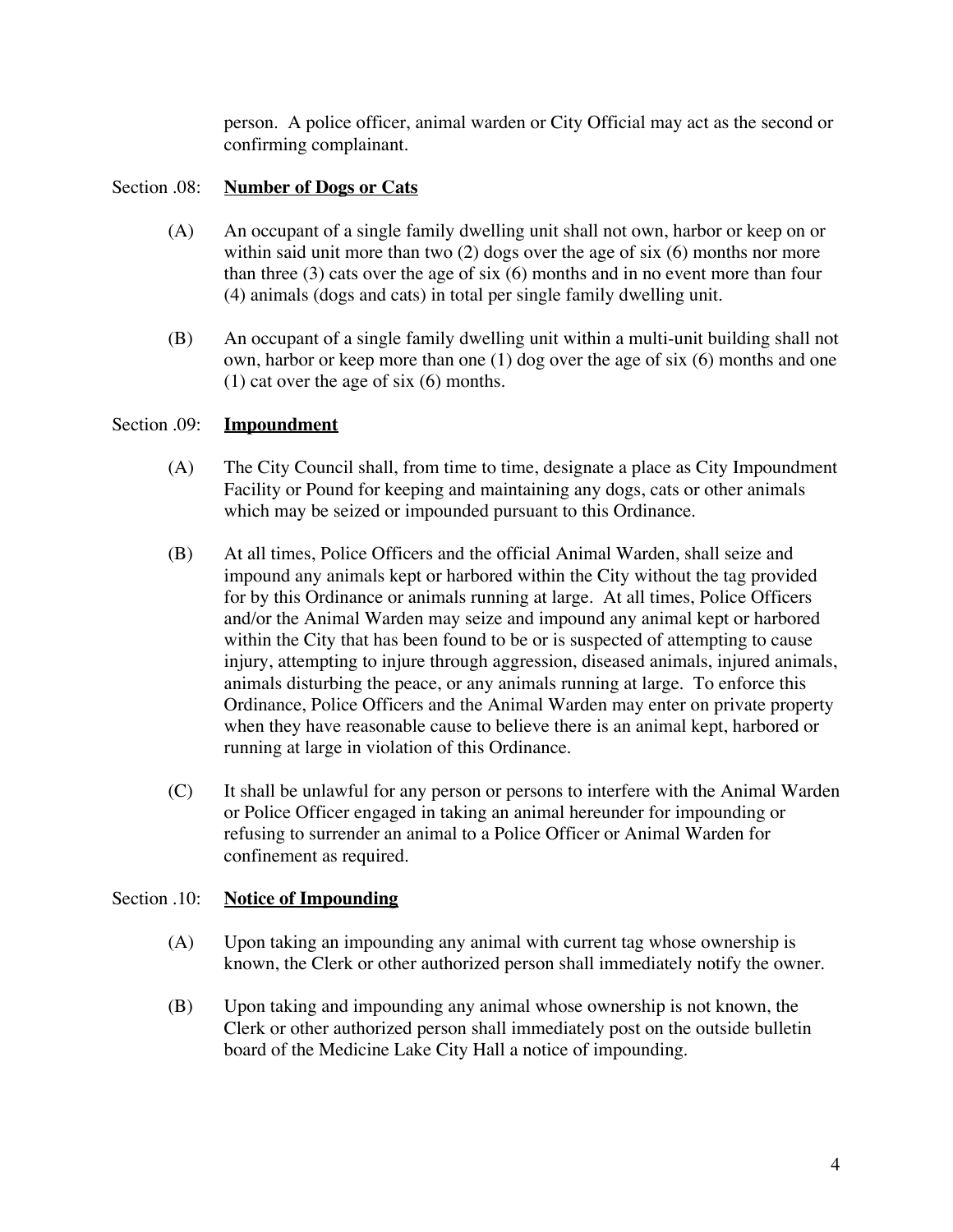person. A police officer, animal warden or City Official may act as the second or confirming complainant.

# Section .08: **Number of Dogs or Cats**

- (A) An occupant of a single family dwelling unit shall not own, harbor or keep on or within said unit more than two (2) dogs over the age of six (6) months nor more than three (3) cats over the age of six (6) months and in no event more than four (4) animals (dogs and cats) in total per single family dwelling unit.
- (B) An occupant of a single family dwelling unit within a multi-unit building shall not own, harbor or keep more than one (1) dog over the age of six (6) months and one (1) cat over the age of six (6) months.

## Section .09: **Impoundment**

- (A) The City Council shall, from time to time, designate a place as City Impoundment Facility or Pound for keeping and maintaining any dogs, cats or other animals which may be seized or impounded pursuant to this Ordinance.
- (B) At all times, Police Officers and the official Animal Warden, shall seize and impound any animals kept or harbored within the City without the tag provided for by this Ordinance or animals running at large. At all times, Police Officers and/or the Animal Warden may seize and impound any animal kept or harbored within the City that has been found to be or is suspected of attempting to cause injury, attempting to injure through aggression, diseased animals, injured animals, animals disturbing the peace, or any animals running at large. To enforce this Ordinance, Police Officers and the Animal Warden may enter on private property when they have reasonable cause to believe there is an animal kept, harbored or running at large in violation of this Ordinance.
- (C) It shall be unlawful for any person or persons to interfere with the Animal Warden or Police Officer engaged in taking an animal hereunder for impounding or refusing to surrender an animal to a Police Officer or Animal Warden for confinement as required.

## Section .10: **Notice of Impounding**

- (A) Upon taking an impounding any animal with current tag whose ownership is known, the Clerk or other authorized person shall immediately notify the owner.
- (B) Upon taking and impounding any animal whose ownership is not known, the Clerk or other authorized person shall immediately post on the outside bulletin board of the Medicine Lake City Hall a notice of impounding.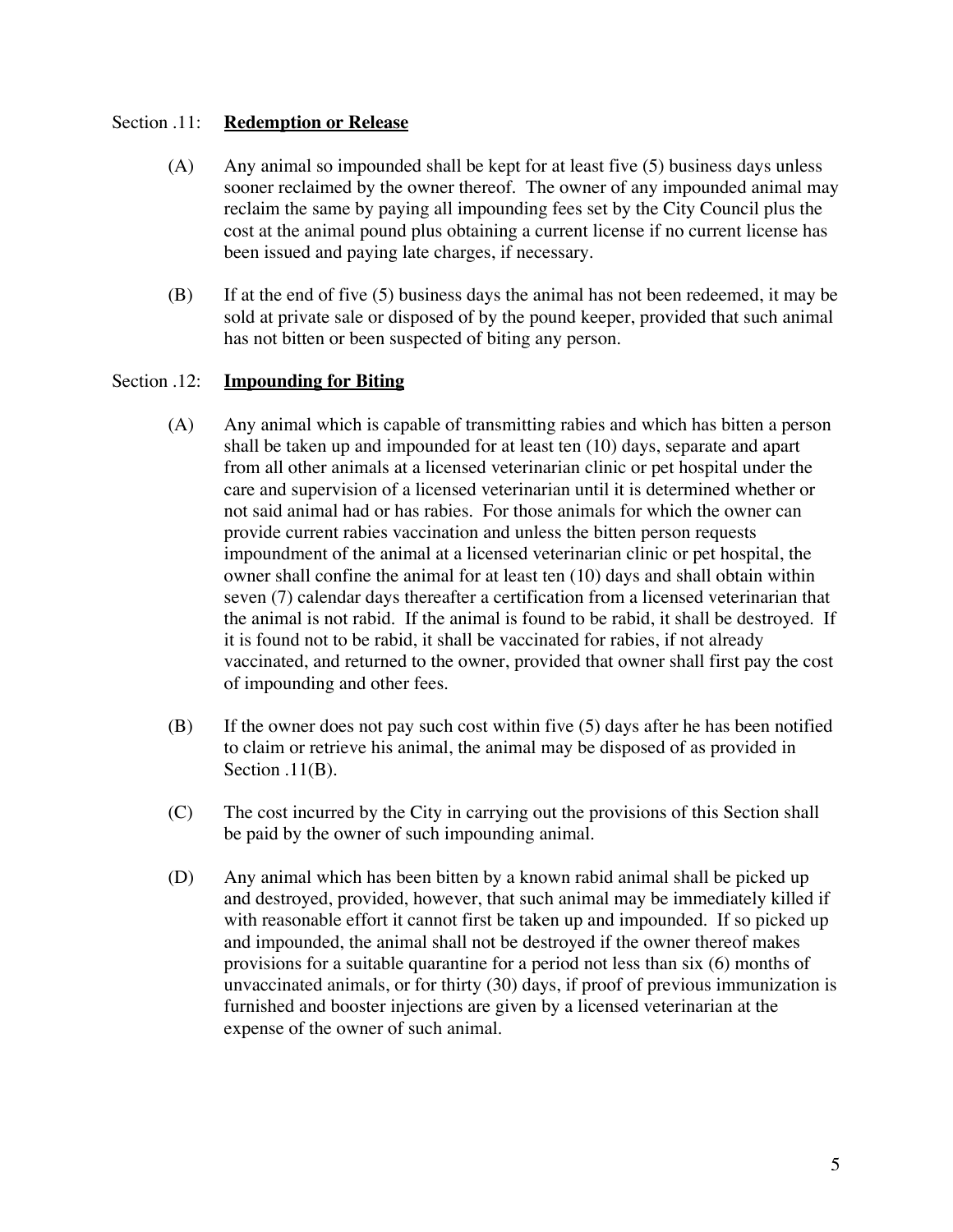# Section .11: **Redemption or Release**

- (A) Any animal so impounded shall be kept for at least five (5) business days unless sooner reclaimed by the owner thereof. The owner of any impounded animal may reclaim the same by paying all impounding fees set by the City Council plus the cost at the animal pound plus obtaining a current license if no current license has been issued and paying late charges, if necessary.
- (B) If at the end of five (5) business days the animal has not been redeemed, it may be sold at private sale or disposed of by the pound keeper, provided that such animal has not bitten or been suspected of biting any person.

# Section .12: **Impounding for Biting**

- (A) Any animal which is capable of transmitting rabies and which has bitten a person shall be taken up and impounded for at least ten (10) days, separate and apart from all other animals at a licensed veterinarian clinic or pet hospital under the care and supervision of a licensed veterinarian until it is determined whether or not said animal had or has rabies. For those animals for which the owner can provide current rabies vaccination and unless the bitten person requests impoundment of the animal at a licensed veterinarian clinic or pet hospital, the owner shall confine the animal for at least ten (10) days and shall obtain within seven (7) calendar days thereafter a certification from a licensed veterinarian that the animal is not rabid. If the animal is found to be rabid, it shall be destroyed. If it is found not to be rabid, it shall be vaccinated for rabies, if not already vaccinated, and returned to the owner, provided that owner shall first pay the cost of impounding and other fees.
- (B) If the owner does not pay such cost within five (5) days after he has been notified to claim or retrieve his animal, the animal may be disposed of as provided in Section .11(B).
- (C) The cost incurred by the City in carrying out the provisions of this Section shall be paid by the owner of such impounding animal.
- (D) Any animal which has been bitten by a known rabid animal shall be picked up and destroyed, provided, however, that such animal may be immediately killed if with reasonable effort it cannot first be taken up and impounded. If so picked up and impounded, the animal shall not be destroyed if the owner thereof makes provisions for a suitable quarantine for a period not less than six (6) months of unvaccinated animals, or for thirty (30) days, if proof of previous immunization is furnished and booster injections are given by a licensed veterinarian at the expense of the owner of such animal.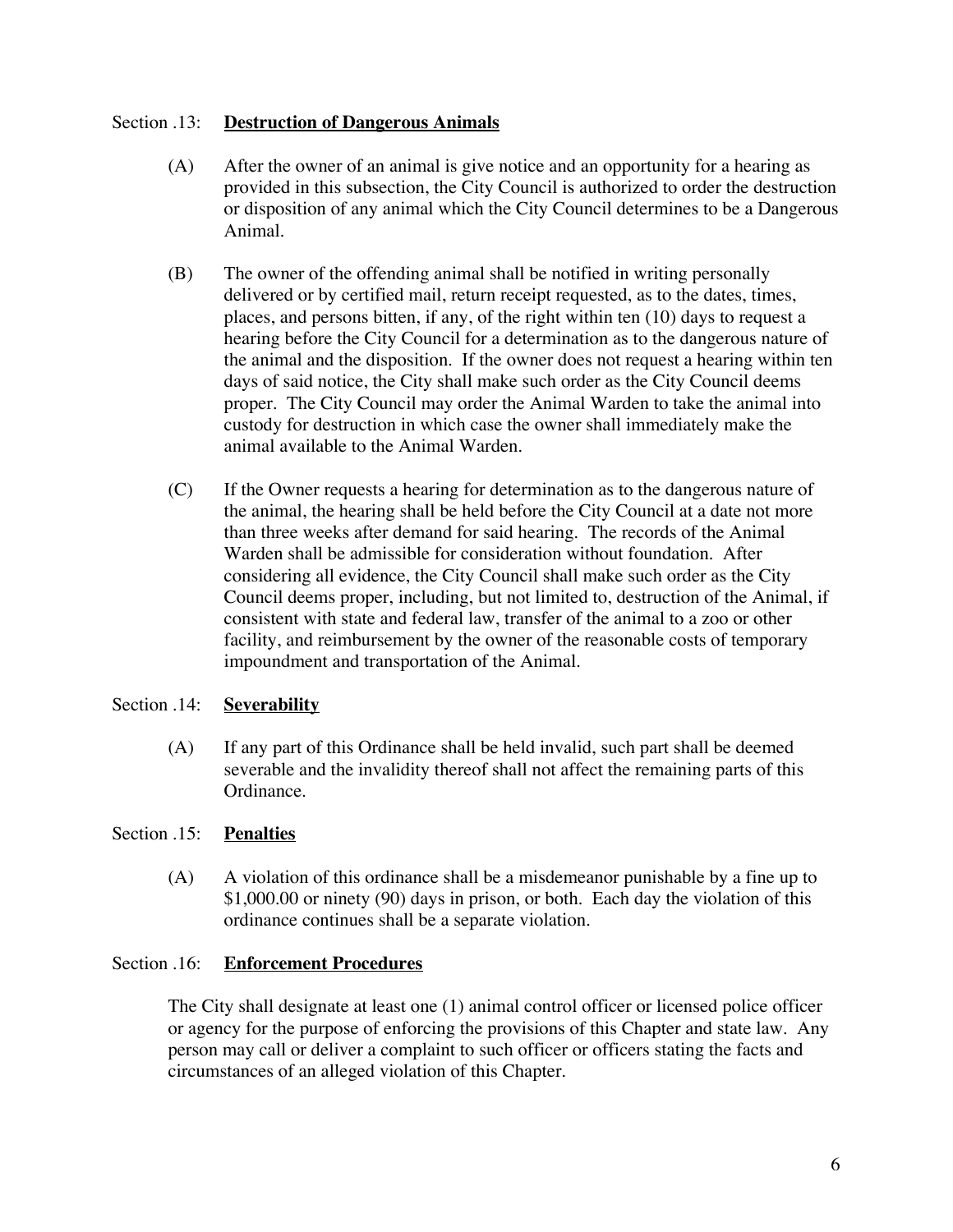## Section .13: **Destruction of Dangerous Animals**

- (A) After the owner of an animal is give notice and an opportunity for a hearing as provided in this subsection, the City Council is authorized to order the destruction or disposition of any animal which the City Council determines to be a Dangerous Animal.
- (B) The owner of the offending animal shall be notified in writing personally delivered or by certified mail, return receipt requested, as to the dates, times, places, and persons bitten, if any, of the right within ten (10) days to request a hearing before the City Council for a determination as to the dangerous nature of the animal and the disposition. If the owner does not request a hearing within ten days of said notice, the City shall make such order as the City Council deems proper. The City Council may order the Animal Warden to take the animal into custody for destruction in which case the owner shall immediately make the animal available to the Animal Warden.
- (C) If the Owner requests a hearing for determination as to the dangerous nature of the animal, the hearing shall be held before the City Council at a date not more than three weeks after demand for said hearing. The records of the Animal Warden shall be admissible for consideration without foundation. After considering all evidence, the City Council shall make such order as the City Council deems proper, including, but not limited to, destruction of the Animal, if consistent with state and federal law, transfer of the animal to a zoo or other facility, and reimbursement by the owner of the reasonable costs of temporary impoundment and transportation of the Animal.

# Section .14: **Severability**

(A) If any part of this Ordinance shall be held invalid, such part shall be deemed severable and the invalidity thereof shall not affect the remaining parts of this Ordinance.

# Section .15: **Penalties**

(A) A violation of this ordinance shall be a misdemeanor punishable by a fine up to \$1,000.00 or ninety (90) days in prison, or both. Each day the violation of this ordinance continues shall be a separate violation.

## Section .16: **Enforcement Procedures**

The City shall designate at least one (1) animal control officer or licensed police officer or agency for the purpose of enforcing the provisions of this Chapter and state law. Any person may call or deliver a complaint to such officer or officers stating the facts and circumstances of an alleged violation of this Chapter.